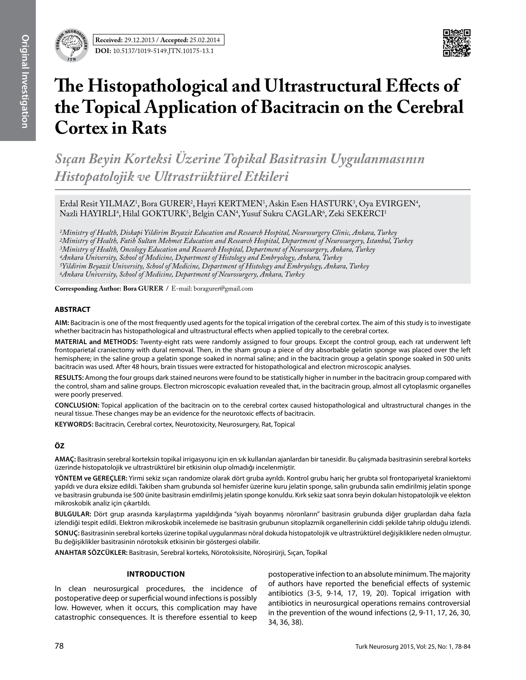



# **The Histopathological and Ultrastructural Effects of the Topical Application of Bacitracin on the Cerebral Cortex in Rats**

*Sıçan Beyin Korteksi Üzerine Topikal Basitrasin Uygulanmasının Histopatolojik ve Ultrastrüktürel Etkileri* 

Erdal Resit YILMAZ<sup>1</sup>, Bora GURER<sup>2</sup>, Hayri KERTMEN<sup>1</sup>, Askin Esen HASTURK<sup>3</sup>, Oya EVIRGEN<sup>4</sup>, Nazli HAYIRLI<sup>4</sup>, Hilal GOKTURK<sup>5</sup>, Belgin CAN<sup>4</sup>, Yusuf Sukru CAGLAR<sup>6</sup>, Zeki SEKERCI<sup>1</sup>

*1Ministry of Health, Diskapi Yildirim Beyazit Education and Research Hospital, Neurosurgery Clinic, Ankara, Turkey 2Ministry of Health, Fatih Sultan Mehmet Education and Research Hospital, Department of Neurosurgery, Istanbul, Turkey 3Ministry of Health, Oncology Education and Research Hospital, Department of Neurosurgery, Ankara, Turkey 4Ankara University, School of Medicine, Department of Histology and Embryology, Ankara, Turkey 5Yildirim Beyazit University, School of Medicine, Department of Histology and Embryology, Ankara, Turkey 6Ankara University, School of Medicine, Department of Neurosurgery, Ankara, Turkey*

**Corresponding Author: Bora GURER / E-mail: boragurer@gmail.com** 

## **ABSTRACT**

**AIm:** Bacitracin is one of the most frequently used agents for the topical irrigation of the cerebral cortex. The aim of this study is to investigate whether bacitracin has histopathological and ultrastructural effects when applied topically to the cerebral cortex.

**MaterIal and Methods:** Twenty-eight rats were randomly assigned to four groups. Except the control group, each rat underwent left frontoparietal craniectomy with dural removal. Then, in the sham group a piece of dry absorbable gelatin sponge was placed over the left hemisphere; in the saline group a gelatin sponge soaked in normal saline; and in the bacitracin group a gelatin sponge soaked in 500 units bacitracin was used. After 48 hours, brain tissues were extracted for histopathological and electron microscopic analyses.

**Results:** Among the four groups dark stained neurons were found to be statistically higher in number in the bacitracin group compared with the control, sham and saline groups. Electron microscopic evaluation revealed that, in the bacitracin group, almost all cytoplasmic organelles were poorly preserved.

**ConclusIon:** Topical application of the bacitracin on to the cerebral cortex caused histopathological and ultrastructural changes in the neural tissue. These changes may be an evidence for the neurotoxic effects of bacitracin.

**Keywords:** Bacitracin, Cerebral cortex, Neurotoxicity, Neurosurgery, Rat, Topical

# **ÖZ**

**AMAÇ:** Basitrasin serebral korteksin topikal irrigasyonu için en sık kullanılan ajanlardan bir tanesidir. Bu çalışmada basitrasinin serebral korteks üzerinde histopatolojik ve ultrastrüktürel bir etkisinin olup olmadığı incelenmiştir.

**YÖNTEM ve GEREÇLER:** Yirmi sekiz sıçan randomize olarak dört gruba ayrıldı. Kontrol grubu hariç her grubta sol frontopariyetal kraniektomi yapıldı ve dura eksize edildi. Takiben sham grubunda sol hemisfer üzerine kuru jelatin sponge, salin grubunda salin emdirilmiş jelatin sponge ve basitrasin grubunda ise 500 ünite basitrasin emdirilmiş jelatin sponge konuldu. Kırk sekiz saat sonra beyin dokuları histopatolojik ve elekton mikroskobik analiz için çıkartıldı.

**BULGULAR:** Dört grup arasında karşılaştırma yapıldığında "siyah boyanmış nöronların" basitrasin grubunda diğer gruplardan daha fazla izlendiği tespit edildi. Elektron mikroskobik incelemede ise basitrasin grubunun sitoplazmik organellerinin ciddi şekilde tahrip olduğu izlendi.

**SONUÇ:** Basitrasinin serebral korteks üzerine topikal uygulanması nöral dokuda histopatolojik ve ultrastrüktürel değişikliklere neden olmuştur. Bu değişiklikler basitrasinin nörotoksik etkisinin bir göstergesi olabilir.

**ANAHTAR SÖZCÜKLER:** Basitrasin, Serebral korteks, Nörotoksisite, Nöroşirürji, Sıçan, Topikal

## **Introduction**

In clean neurosurgical procedures, the incidence of postoperative deep or superficial wound infections is possibly low. However, when it occurs, this complication may have catastrophic consequences. It is therefore essential to keep

postoperative infection to an absolute minimum. The majority of authors have reported the beneficial effects of systemic antibiotics (3-5, 9-14, 17, 19, 20). Topical irrigation with antibiotics in neurosurgical operations remains controversial in the prevention of the wound infections (2, 9-11, 17, 26, 30, 34, 36, 38).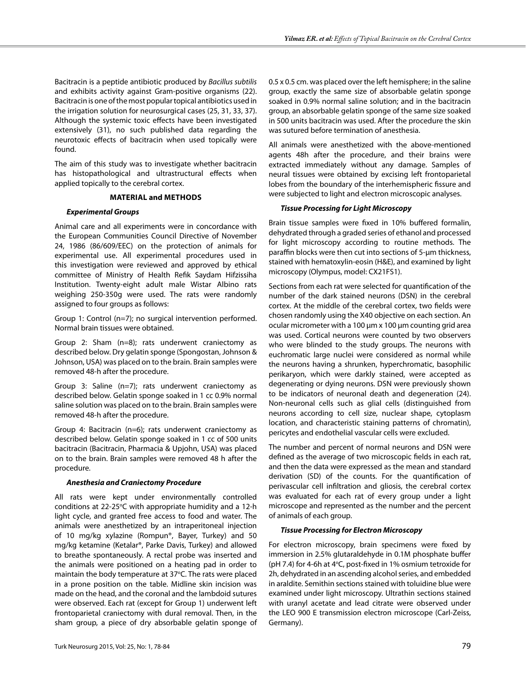Bacitracin is a peptide antibiotic produced by *Bacillus subtilis* and exhibits activity against Gram-positive organisms (22). Bacitracin is one of the most popular topical antibiotics used in the irrigation solution for neurosurgical cases (25, 31, 33, 37). Although the systemic toxic effects have been investigated extensively (31), no such published data regarding the neurotoxic effects of bacitracin when used topically were found.

The aim of this study was to investigate whether bacitracin has histopathological and ultrastructural effects when applied topically to the cerebral cortex.

## **Material and Methods**

## *Experimental Groups*

Animal care and all experiments were in concordance with the European Communities Council Directive of November 24, 1986 (86/609/EEC) on the protection of animals for experimental use. All experimental procedures used in this investigation were reviewed and approved by ethical committee of Ministry of Health Refik Saydam Hifzissiha Institution. Twenty-eight adult male Wistar Albino rats weighing 250-350g were used. The rats were randomly assigned to four groups as follows:

Group 1: Control (n=7); no surgical intervention performed. Normal brain tissues were obtained.

Group 2: Sham (n=8); rats underwent craniectomy as described below. Dry gelatin sponge (Spongostan, Johnson & Johnson, USA) was placed on to the brain. Brain samples were removed 48-h after the procedure.

Group 3: Saline (n=7); rats underwent craniectomy as described below. Gelatin sponge soaked in 1 cc 0.9% normal saline solution was placed on to the brain. Brain samples were removed 48-h after the procedure.

Group 4: Bacitracin (n=6); rats underwent craniectomy as described below. Gelatin sponge soaked in 1 cc of 500 units bacitracin (Bacitracin, Pharmacia & Upjohn, USA) was placed on to the brain. Brain samples were removed 48 h after the procedure.

## *Anesthesia and Craniectomy Procedure*

All rats were kept under environmentally controlled conditions at 22-25°C with appropriate humidity and a 12-h light cycle, and granted free access to food and water. The animals were anesthetized by an intraperitoneal injection of 10 mg/kg xylazine (Rompun®, Bayer, Turkey) and 50 mg/kg ketamine (Ketalar®, Parke Davis, Turkey) and allowed to breathe spontaneously. A rectal probe was inserted and the animals were positioned on a heating pad in order to maintain the body temperature at 37°C. The rats were placed in a prone position on the table. Midline skin incision was made on the head, and the coronal and the lambdoid sutures were observed. Each rat (except for Group 1) underwent left frontoparietal craniectomy with dural removal. Then, in the sham group, a piece of dry absorbable gelatin sponge of 0.5 x 0.5 cm. was placed over the left hemisphere; in the saline group, exactly the same size of absorbable gelatin sponge soaked in 0.9% normal saline solution; and in the bacitracin group, an absorbable gelatin sponge of the same size soaked in 500 units bacitracin was used. After the procedure the skin was sutured before termination of anesthesia.

All animals were anesthetized with the above-mentioned agents 48h after the procedure, and their brains were extracted immediately without any damage. Samples of neural tissues were obtained by excising left frontoparietal lobes from the boundary of the interhemispheric fissure and were subjected to light and electron microscopic analyses.

## *Tissue Processing for Light Microscopy*

Brain tissue samples were fixed in 10% buffered formalin, dehydrated through a graded series of ethanol and processed for light microscopy according to routine methods. The paraffin blocks were then cut into sections of 5-µm thickness, stained with hematoxylin-eosin (H&E), and examined by light microscopy (Olympus, model: CX21FS1).

Sections from each rat were selected for quantification of the number of the dark stained neurons (DSN) in the cerebral cortex. At the middle of the cerebral cortex, two fields were chosen randomly using the X40 objective on each section. An ocular micrometer with a 100  $\mu$ m x 100  $\mu$ m counting grid area was used. Cortical neurons were counted by two observers who were blinded to the study groups. The neurons with euchromatic large nuclei were considered as normal while the neurons having a shrunken, hyperchromatic, basophilic perikaryon, which were darkly stained, were accepted as degenerating or dying neurons. DSN were previously shown to be indicators of neuronal death and degeneration (24). Non-neuronal cells such as glial cells (distinguished from neurons according to cell size, nuclear shape, cytoplasm location, and characteristic staining patterns of chromatin), pericytes and endothelial vascular cells were excluded.

The number and percent of normal neurons and DSN were defined as the average of two microscopic fields in each rat, and then the data were expressed as the mean and standard derivation (SD) of the counts. For the quantification of perivascular cell infiltration and gliosis, the cerebral cortex was evaluated for each rat of every group under a light microscope and represented as the number and the percent of animals of each group.

# *Tissue Processing for Electron Microscopy*

For electron microscopy, brain specimens were fixed by immersion in 2.5% glutaraldehyde in 0.1M phosphate buffer ( $pH$  7.4) for 4-6h at 4 $\degree$ C, post-fixed in 1% osmium tetroxide for 2h, dehydrated in an ascending alcohol series, and embedded in araldite. Semithin sections stained with toluidine blue were examined under light microscopy. Ultrathin sections stained with uranyl acetate and lead citrate were observed under the LEO 900 E transmission electron microscope (Carl-Zeiss, Germany).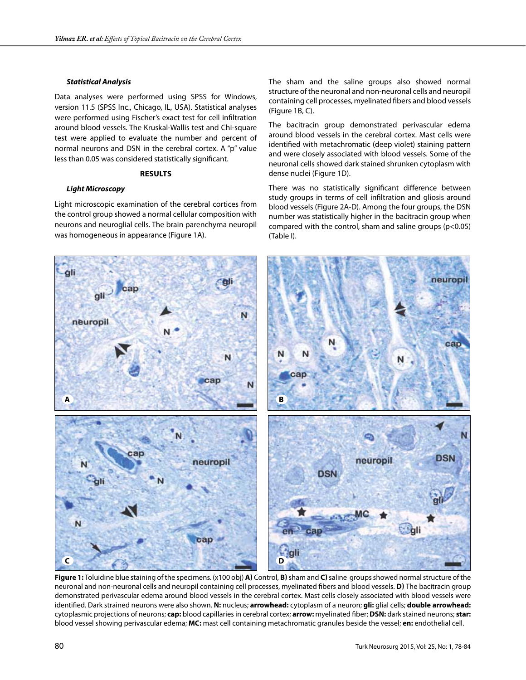#### *Statistical Analysis*

Data analyses were performed using SPSS for Windows, version 11.5 (SPSS Inc., Chicago, IL, USA). Statistical analyses were performed using Fischer's exact test for cell infiltration around blood vessels. The Kruskal-Wallis test and Chi-square test were applied to evaluate the number and percent of normal neurons and DSN in the cerebral cortex. A "p" value less than 0.05 was considered statistically significant.

#### **Results**

## *Light Microscopy*

Light microscopic examination of the cerebral cortices from the control group showed a normal cellular composition with neurons and neuroglial cells. The brain parenchyma neuropil was homogeneous in appearance (Figure 1A).

The sham and the saline groups also showed normal structure of the neuronal and non-neuronal cells and neuropil containing cell processes, myelinated fibers and blood vessels (Figure 1b, c).

The bacitracin group demonstrated perivascular edema around blood vessels in the cerebral cortex. Mast cells were identified with metachromatic (deep violet) staining pattern and were closely associated with blood vessels. Some of the neuronal cells showed dark stained shrunken cytoplasm with dense nuclei (Figure 1D).

There was no statistically significant difference between study groups in terms of cell infiltration and gliosis around blood vessels (Figure 2A-D). Among the four groups, the DSN number was statistically higher in the bacitracin group when compared with the control, sham and saline groups (p<0.05) (Table I).



**Figure 1:** Toluidine blue staining of the specimens. (x100 obj) **a)** Control, **B)** sham and **C)** saline groups showed normal structure of the neuronal and non-neuronal cells and neuropil containing cell processes, myelinated fibers and blood vessels. **D)** The bacitracin group demonstrated perivascular edema around blood vessels in the cerebral cortex. Mast cells closely associated with blood vessels were identified. Dark strained neurons were also shown. **N:** nucleus; **arrowhead:** cytoplasm of a neuron; **gli:** glial cells; **double arrowhead:**  cytoplasmic projections of neurons; **cap:** blood capillaries in cerebral cortex; **arrow:** myelinated fiber; **DSN:** dark stained neurons; **star:**  blood vessel showing perivascular edema; **MC:** mast cell containing metachromatic granules beside the vessel; **en:** endothelial cell.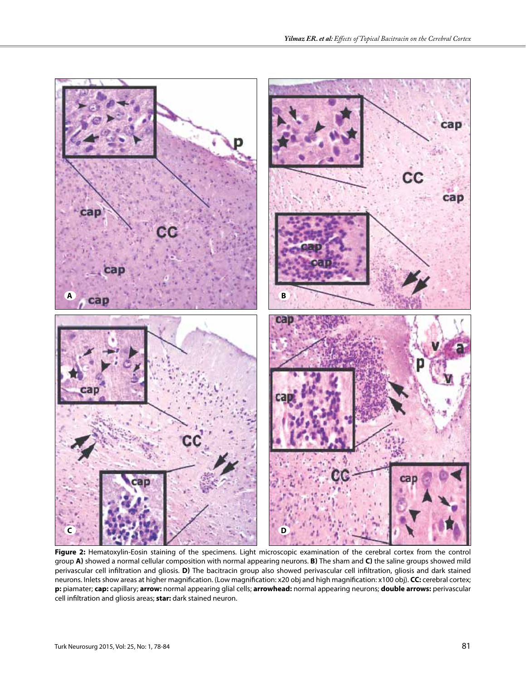

**Figure 2:** Hematoxylin-Eosin staining of the specimens. Light microscopic examination of the cerebral cortex from the control group **a)** showed a normal cellular composition with normal appearing neurons. **B)** The sham and **C)** the saline groups showed mild perivascular cell infiltration and gliosis. **D)** The bacitracin group also showed perivascular cell infiltration, gliosis and dark stained neurons. Inlets show areas at higher magnification. (Low magnification: x20 obj and high magnification: x100 obj). **CC:** cerebral cortex; **p:** piamater; **cap:** capillary; **arrow:** normal appearing glial cells; **arrowhead:** normal appearing neurons; **double arrows:** perivascular cell infiltration and gliosis areas; **star:** dark stained neuron.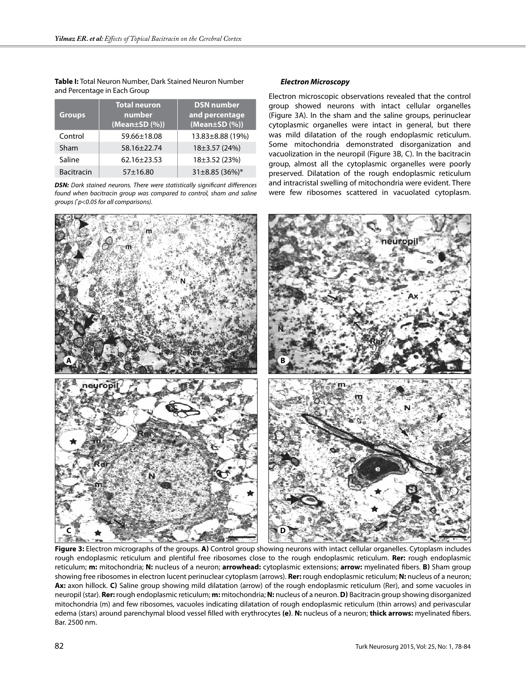## **Table I:** Total Neuron Number, Dark Stained Neuron Number and Percentage in Each Group

| <b>Groups</b>     | <b>Total neuron</b><br>number<br>(Mean $\pm$ SD $(\%)$ ) | <b>DSN</b> number<br>and percentage<br>(Mean $\pm$ SD $(\%)$ ) |
|-------------------|----------------------------------------------------------|----------------------------------------------------------------|
| Control           | $59.66 \pm 18.08$                                        | 13.83±8.88 (19%)                                               |
| Sham              | $58.16 \pm 22.74$                                        | 18±3.57 (24%)                                                  |
| Saline            | $62.16 \pm 23.53$                                        | 18±3.52 (23%)                                                  |
| <b>Bacitracin</b> | $57 \pm 16.80$                                           | 31±8.85 (36%)*                                                 |

*DSN: Dark stained neurons. There were statistically significant differences found when bacitracin group was compared to control, sham and saline groups (\* p<0.05 for all comparisons).*

## *Electron Microscopy*

Electron microscopic observations revealed that the control group showed neurons with intact cellular organelles (Figure 3a). In the sham and the saline groups, perinuclear cytoplasmic organelles were intact in general, but there was mild dilatation of the rough endoplasmic reticulum. Some mitochondria demonstrated disorganization and vacuolization in the neuropil (Figure 3b, c). In the bacitracin group, almost all the cytoplasmic organelles were poorly preserved. Dilatation of the rough endoplasmic reticulum and intracristal swelling of mitochondria were evident. There were few ribosomes scattered in vacuolated cytoplasm.



**Figure 3:** Electron micrographs of the groups. **a)** Control group showing neurons with intact cellular organelles. Cytoplasm includes rough endoplasmic reticulum and plentiful free ribosomes close to the rough endoplasmic reticulum. **Rer:** rough endoplasmic reticulum; **m:** mitochondria; **N:** nucleus of a neuron; **arrowhead:** cytoplasmic extensions; **arrow:** myelinated fibers. **b)** Sham group showing free ribosomes in electron lucent perinuclear cytoplasm (arrows). **Rer:** rough endoplasmic reticulum; **N:** nucleus of a neuron; **Ax:** axon hillock. **c)** Saline group showing mild dilatation (arrow) of the rough endoplasmic reticulum (Rer), and some vacuoles in neuropil (star). **Rer:** rough endoplasmic reticulum; **m:** mitochondria; **N:** nucleus of a neuron. **d)** Bacitracin group showing disorganized mitochondria (m) and few ribosomes, vacuoles indicating dilatation of rough endoplasmic reticulum (thin arrows) and perivascular edema (stars) around parenchymal blood vessel filled with erythrocytes **(e)**. **N:** nucleus of a neuron; **thick arrows:** myelinated fibers. Bar. 2500 nm.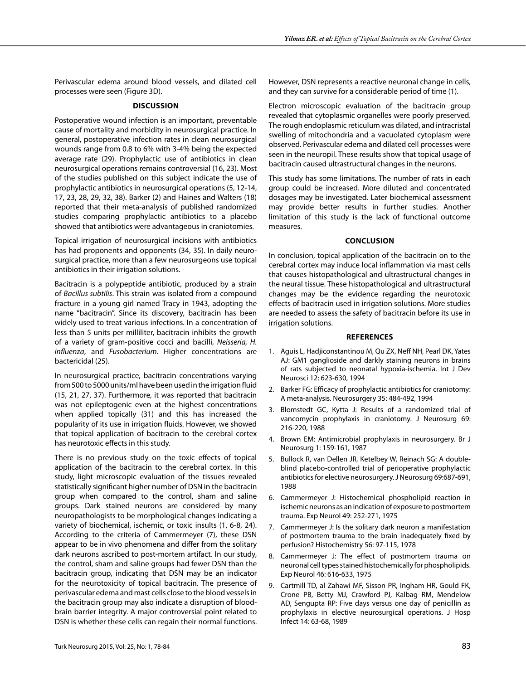Perivascular edema around blood vessels, and dilated cell processes were seen (Figure 3D).

#### **Discussion**

Postoperative wound infection is an important, preventable cause of mortality and morbidity in neurosurgical practice. In general, postoperative infection rates in clean neurosurgical wounds range from 0.8 to 6% with 3-4% being the expected average rate (29). Prophylactic use of antibiotics in clean neurosurgical operations remains controversial (16, 23). Most of the studies published on this subject indicate the use of prophylactic antibiotics in neurosurgical operations (5, 12-14, 17, 23, 28, 29, 32, 38). Barker (2) and Haines and Walters (18) reported that their meta-analysis of published randomized studies comparing prophylactic antibiotics to a placebo showed that antibiotics were advantageous in craniotomies.

Topical irrigation of neurosurgical incisions with antibiotics has had proponents and opponents (34, 35). In daily neurosurgical practice, more than a few neurosurgeons use topical antibiotics in their irrigation solutions.

Bacitracin is a polypeptide antibiotic, produced by a strain of *Bacillus subtilis*. This strain was isolated from a compound fracture in a young girl named Tracy in 1943, adopting the name "bacitracin". Since its discovery, bacitracin has been widely used to treat various infections. In a concentration of less than 5 units per milliliter, bacitracin inhibits the growth of a variety of gram-positive cocci and bacilli, *Neisseria, H. influenza*, and *Fusobacterium*. Higher concentrations are bactericidal (25).

In neurosurgical practice, bacitracin concentrations varying from 500 to 5000 units/ml have been used in the irrigation fluid (15, 21, 27, 37). Furthermore, it was reported that bacitracin was not epileptogenic even at the highest concentrations when applied topically (31) and this has increased the popularity of its use in irrigation fluids. However, we showed that topical application of bacitracin to the cerebral cortex has neurotoxic effects in this study.

There is no previous study on the toxic effects of topical application of the bacitracin to the cerebral cortex. In this study, light microscopic evaluation of the tissues revealed statistically significant higher number of DSN in the bacitracin group when compared to the control, sham and saline groups. Dark stained neurons are considered by many neuropathologists to be morphological changes indicating a variety of biochemical, ischemic, or toxic insults (1, 6-8, 24). According to the criteria of Cammermeyer (7), these DSN appear to be in vivo phenomena and differ from the solitary dark neurons ascribed to post-mortem artifact. In our study, the control, sham and saline groups had fewer DSN than the bacitracin group, indicating that DSN may be an indicator for the neurotoxicity of topical bacitracin. The presence of perivascular edema and mast cells close to the blood vessels in the bacitracin group may also indicate a disruption of bloodbrain barrier integrity. A major controversial point related to DSN is whether these cells can regain their normal functions.

However, DSN represents a reactive neuronal change in cells, and they can survive for a considerable period of time (1).

Electron microscopic evaluation of the bacitracin group revealed that cytoplasmic organelles were poorly preserved. The rough endoplasmic reticulum was dilated, and intracristal swelling of mitochondria and a vacuolated cytoplasm were observed. Perivascular edema and dilated cell processes were seen in the neuropil. These results show that topical usage of bacitracin caused ultrastructural changes in the neurons.

This study has some limitations. The number of rats in each group could be increased. More diluted and concentrated dosages may be investigated. Later biochemical assessment may provide better results in further studies. Another limitation of this study is the lack of functional outcome measures.

#### **Conclusion**

In conclusion, topical application of the bacitracin on to the cerebral cortex may induce local inflammation via mast cells that causes histopathological and ultrastructural changes in the neural tissue. These histopathological and ultrastructural changes may be the evidence regarding the neurotoxic effects of bacitracin used in irrigation solutions. More studies are needed to assess the safety of bacitracin before its use in irrigation solutions.

#### **References**

- 1. Aguis L, Hadjiconstantinou M, Qu ZX, Neff NH, Pearl DK, Yates AJ: GM1 ganglioside and darkly staining neurons in brains of rats subjected to neonatal hypoxia-ischemia. Int J Dev Neurosci 12: 623-630, 1994
- 2. Barker FG: Efficacy of prophylactic antibiotics for craniotomy: A meta-analysis. Neurosurgery 35: 484-492, 1994
- 3. Blomstedt GC, Kytta J: Results of a randomized trial of vancomycin prophylaxis in craniotomy. J Neurosurg 69: 216-220, 1988
- 4. Brown EM: Antimicrobial prophylaxis in neurosurgery. Br J Neurosurg 1: 159-161, 1987
- 5. Bullock R, van Dellen JR, Ketelbey W, Reinach SG: A doubleblind placebo-controlled trial of perioperative prophylactic antibiotics for elective neurosurgery. J Neurosurg 69:687-691, 1988
- 6. Cammermeyer J: Histochemical phospholipid reaction in ischemic neurons as an indication of exposure to postmortem trauma. Exp Neurol 49: 252-271, 1975
- 7. Cammermeyer J: Is the solitary dark neuron a manifestation of postmortem trauma to the brain inadequately fixed by perfusion? Histochemistry 56: 97-115, 1978
- 8. Cammermeyer J: The effect of postmortem trauma on neuronal cell types stained histochemically for phospholipids. Exp Neurol 46: 616-633, 1975
- 9. Cartmill TD, al Zahawi MF, Sisson PR, Ingham HR, Gould FK, Crone PB, Betty MJ, Crawford PJ, Kalbag RM, Mendelow AD, Sengupta RP: Five days versus one day of penicillin as prophylaxis in elective neurosurgical operations. J Hosp Infect 14: 63-68, 1989